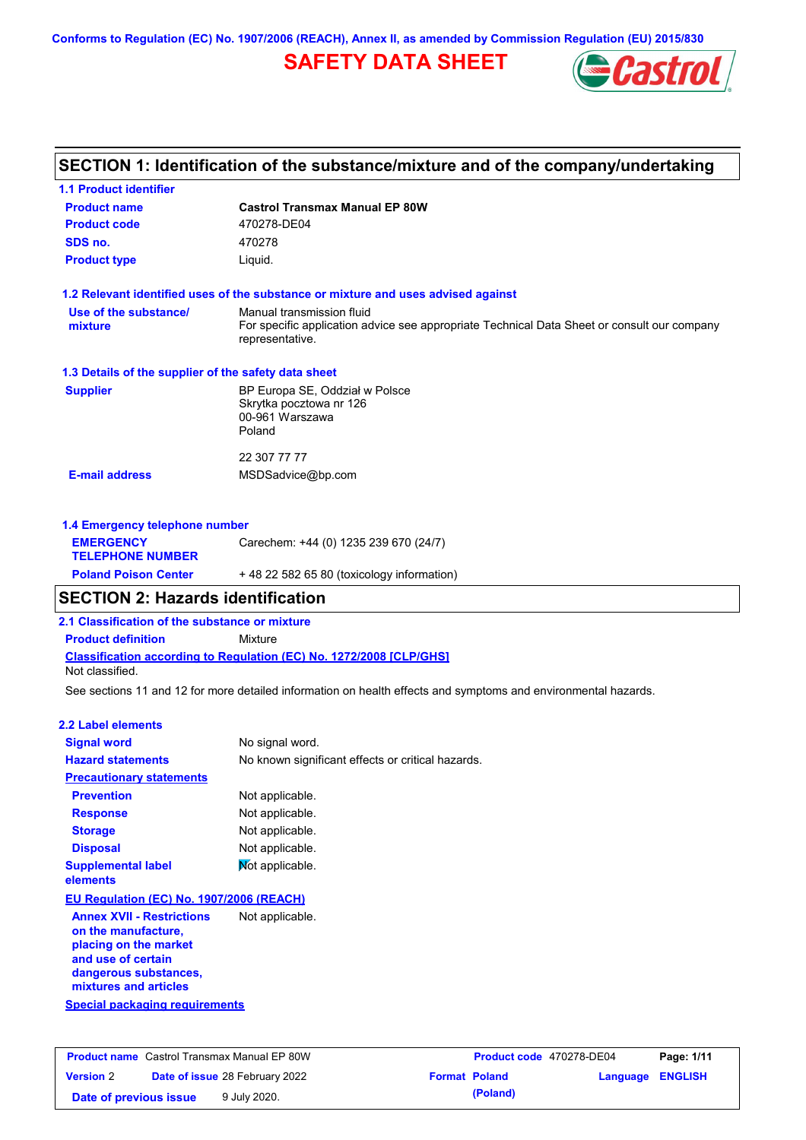**Conforms to Regulation (EC) No. 1907/2006 (REACH), Annex II, as amended by Commission Regulation (EU) 2015/830**

# **SAFETY DATA SHEET**



# **SECTION 1: Identification of the substance/mixture and of the company/undertaking**

| <b>1.1 Product identifier</b>                                |                                                                                                                |  |  |  |  |
|--------------------------------------------------------------|----------------------------------------------------------------------------------------------------------------|--|--|--|--|
| <b>Castrol Transmax Manual EP 80W</b><br><b>Product name</b> |                                                                                                                |  |  |  |  |
| <b>Product code</b>                                          | 470278-DE04                                                                                                    |  |  |  |  |
| SDS no.                                                      | 470278                                                                                                         |  |  |  |  |
| <b>Product type</b>                                          | Liquid.                                                                                                        |  |  |  |  |
|                                                              | 1.2 Relevant identified uses of the substance or mixture and uses advised against                              |  |  |  |  |
| Use of the substance/                                        | Manual transmission fluid                                                                                      |  |  |  |  |
| mixture                                                      | For specific application advice see appropriate Technical Data Sheet or consult our company<br>representative. |  |  |  |  |
| 1.3 Details of the supplier of the safety data sheet         |                                                                                                                |  |  |  |  |
| <b>Supplier</b>                                              | BP Europa SE, Oddział w Polsce                                                                                 |  |  |  |  |
|                                                              | Skrytka pocztowa nr 126<br>00-961 Warszawa                                                                     |  |  |  |  |
|                                                              | Poland                                                                                                         |  |  |  |  |
|                                                              | 22 307 77 77                                                                                                   |  |  |  |  |
| <b>E-mail address</b>                                        | MSDSadvice@bp.com                                                                                              |  |  |  |  |
| 1.4 Emergency telephone number                               |                                                                                                                |  |  |  |  |
| <b>EMERGENCY</b>                                             | Carechem: +44 (0) 1235 239 670 (24/7)                                                                          |  |  |  |  |
| <b>TELEPHONE NUMBER</b>                                      |                                                                                                                |  |  |  |  |

| <b>Poland Poison Center</b> | +48 22 582 65 80 (toxicology information) |
|-----------------------------|-------------------------------------------|
|                             |                                           |

# **SECTION 2: Hazards identification**

**2.1 Classification of the substance or mixture**

**Product definition** Mixture

**Classification according to Regulation (EC) No. 1272/2008 [CLP/GHS]** Not classified.

See sections 11 and 12 for more detailed information on health effects and symptoms and environmental hazards.

### **2.2 Label elements**

| <b>Signal word</b>                                                                                                              | No signal word.                                   |  |  |  |
|---------------------------------------------------------------------------------------------------------------------------------|---------------------------------------------------|--|--|--|
| <b>Hazard statements</b>                                                                                                        | No known significant effects or critical hazards. |  |  |  |
| <b>Precautionary statements</b>                                                                                                 |                                                   |  |  |  |
| <b>Prevention</b>                                                                                                               | Not applicable.                                   |  |  |  |
| <b>Response</b>                                                                                                                 | Not applicable.                                   |  |  |  |
| <b>Storage</b>                                                                                                                  | Not applicable.                                   |  |  |  |
| <b>Disposal</b>                                                                                                                 | Not applicable.                                   |  |  |  |
| <b>Supplemental label</b><br>elements                                                                                           | Not applicable.                                   |  |  |  |
| EU Regulation (EC) No. 1907/2006 (REACH)                                                                                        |                                                   |  |  |  |
| <b>Annex XVII - Restrictions</b><br>on the manufacture,<br>placing on the market<br>and use of certain<br>dangerous substances, | Not applicable.                                   |  |  |  |

**Special packaging requirements mixtures and articles**

| <b>Product name</b> Castrol Transmax Manual EP 80W |  |                                       | Product code 470278-DE04 |          | Page: 1/11              |  |
|----------------------------------------------------|--|---------------------------------------|--------------------------|----------|-------------------------|--|
| <b>Version 2</b>                                   |  | <b>Date of issue 28 February 2022</b> | <b>Format Poland</b>     |          | <b>Language ENGLISH</b> |  |
| Date of previous issue                             |  | 9 July 2020.                          |                          | (Poland) |                         |  |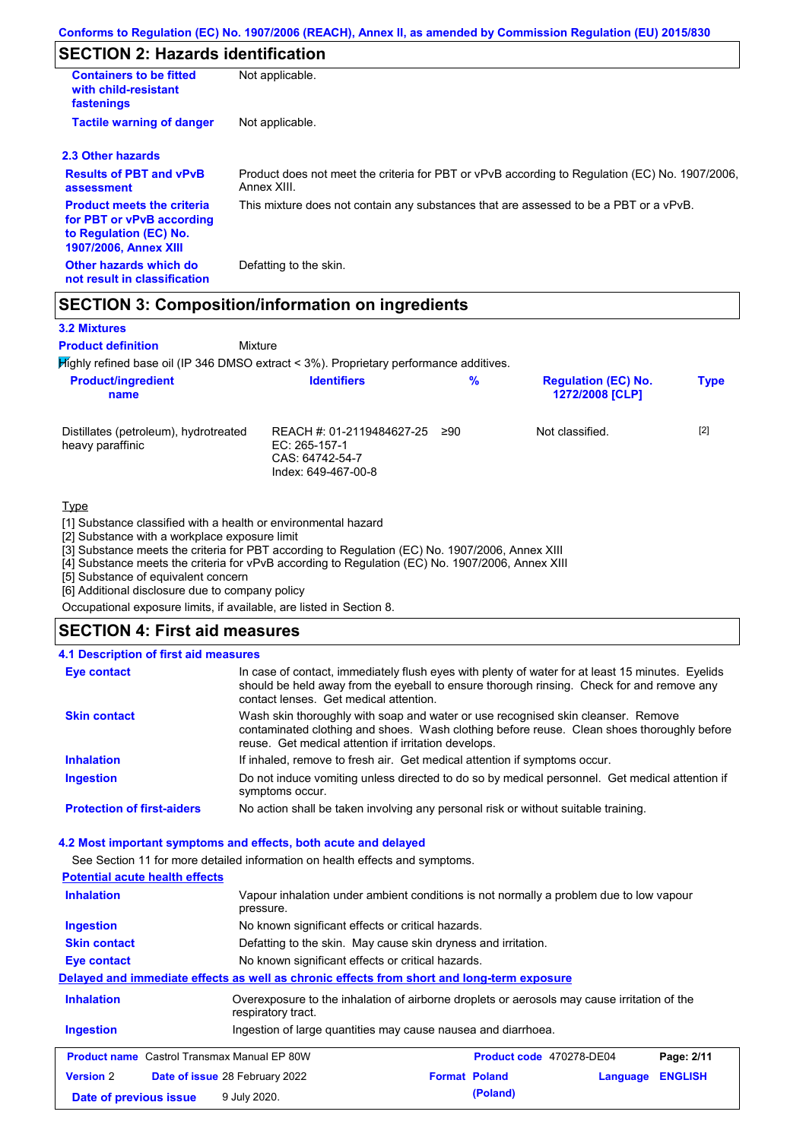# **SECTION 2: Hazards identification**

| <b>Containers to be fitted</b><br>with child-resistant<br>fastenings                                                     | Not applicable.                                                                                               |
|--------------------------------------------------------------------------------------------------------------------------|---------------------------------------------------------------------------------------------------------------|
| <b>Tactile warning of danger</b>                                                                                         | Not applicable.                                                                                               |
| 2.3 Other hazards                                                                                                        |                                                                                                               |
| <b>Results of PBT and vPvB</b><br>assessment                                                                             | Product does not meet the criteria for PBT or vPvB according to Regulation (EC) No. 1907/2006,<br>Annex XIII. |
| <b>Product meets the criteria</b><br>for PBT or vPvB according<br>to Regulation (EC) No.<br><b>1907/2006, Annex XIII</b> | This mixture does not contain any substances that are assessed to be a PBT or a vPvB.                         |
| Other hazards which do<br>not result in classification                                                                   | Defatting to the skin.                                                                                        |

## **SECTION 3: Composition/information on ingredients**

Mixture

### **3.2 Mixtures**

**Product definition**

Highly refined base oil (IP 346 DMSO extract < 3%). Proprietary performance additives.

| <b>Product/ingredient</b><br>name                         | <b>Identifiers</b>                                                                   | $\frac{9}{6}$ | <b>Regulation (EC) No.</b><br>1272/2008 [CLP] | <b>Type</b> |
|-----------------------------------------------------------|--------------------------------------------------------------------------------------|---------------|-----------------------------------------------|-------------|
| Distillates (petroleum), hydrotreated<br>heavy paraffinic | REACH #: 01-2119484627-25<br>EC: 265-157-1<br>CAS: 64742-54-7<br>Index: 649-467-00-8 | ≥90           | Not classified.                               | $[2]$       |

### Type

[1] Substance classified with a health or environmental hazard

[2] Substance with a workplace exposure limit

[3] Substance meets the criteria for PBT according to Regulation (EC) No. 1907/2006, Annex XIII

[4] Substance meets the criteria for vPvB according to Regulation (EC) No. 1907/2006, Annex XIII

[5] Substance of equivalent concern

[6] Additional disclosure due to company policy

Occupational exposure limits, if available, are listed in Section 8.

## **SECTION 4: First aid measures**

### **4.1 Description of first aid measures**

| <b>Eye contact</b>                | In case of contact, immediately flush eyes with plenty of water for at least 15 minutes. Eyelids<br>should be held away from the eyeball to ensure thorough rinsing. Check for and remove any<br>contact lenses. Get medical attention. |
|-----------------------------------|-----------------------------------------------------------------------------------------------------------------------------------------------------------------------------------------------------------------------------------------|
| <b>Skin contact</b>               | Wash skin thoroughly with soap and water or use recognised skin cleanser. Remove<br>contaminated clothing and shoes. Wash clothing before reuse. Clean shoes thoroughly before<br>reuse. Get medical attention if irritation develops.  |
| <b>Inhalation</b>                 | If inhaled, remove to fresh air. Get medical attention if symptoms occur.                                                                                                                                                               |
| <b>Ingestion</b>                  | Do not induce vomiting unless directed to do so by medical personnel. Get medical attention if<br>symptoms occur.                                                                                                                       |
| <b>Protection of first-aiders</b> | No action shall be taken involving any personal risk or without suitable training.                                                                                                                                                      |

### **4.2 Most important symptoms and effects, both acute and delayed**

See Section 11 for more detailed information on health effects and symptoms.

| <b>Potential acute health effects</b>                                                                                                  |                                                                                                     |                                                   |                          |          |                |
|----------------------------------------------------------------------------------------------------------------------------------------|-----------------------------------------------------------------------------------------------------|---------------------------------------------------|--------------------------|----------|----------------|
| <b>Inhalation</b>                                                                                                                      | Vapour inhalation under ambient conditions is not normally a problem due to low vapour<br>pressure. |                                                   |                          |          |                |
| <b>Ingestion</b>                                                                                                                       |                                                                                                     | No known significant effects or critical hazards. |                          |          |                |
| <b>Skin contact</b>                                                                                                                    | Defatting to the skin. May cause skin dryness and irritation.                                       |                                                   |                          |          |                |
| <b>Eye contact</b>                                                                                                                     | No known significant effects or critical hazards.                                                   |                                                   |                          |          |                |
|                                                                                                                                        | Delayed and immediate effects as well as chronic effects from short and long-term exposure          |                                                   |                          |          |                |
| <b>Inhalation</b><br>Overexposure to the inhalation of airborne droplets or aerosols may cause irritation of the<br>respiratory tract. |                                                                                                     |                                                   |                          |          |                |
| Ingestion of large quantities may cause nausea and diarrhoea.<br><b>Ingestion</b>                                                      |                                                                                                     |                                                   |                          |          |                |
| <b>Product name</b> Castrol Transmax Manual EP 80W                                                                                     |                                                                                                     |                                                   | Product code 470278-DE04 |          | Page: 2/11     |
| <b>Version 2</b>                                                                                                                       | <b>Date of issue 28 February 2022</b>                                                               |                                                   | <b>Format Poland</b>     | Language | <b>ENGLISH</b> |
| Date of previous issue                                                                                                                 | 9 July 2020.                                                                                        |                                                   | (Poland)                 |          |                |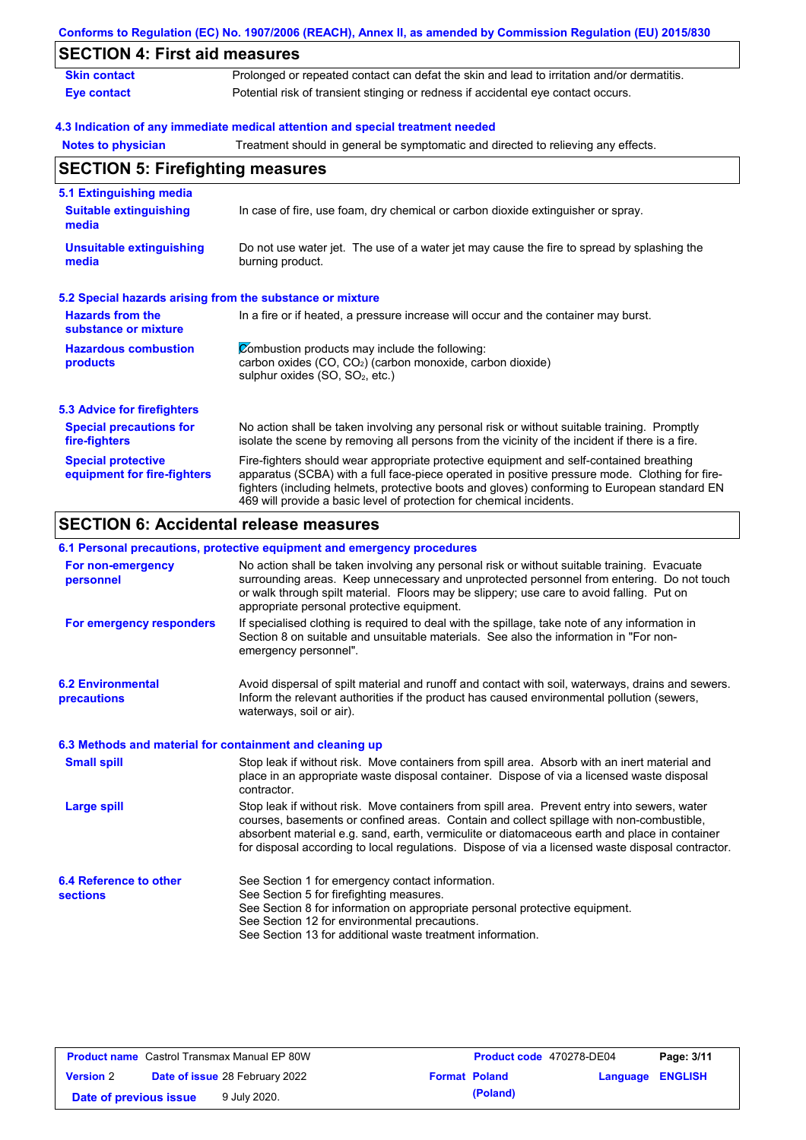|                                                           | Conforms to Regulation (EC) No. 1907/2006 (REACH), Annex II, as amended by Commission Regulation (EU) 2015/830                                                                                                                                                                                                                                                    |  |  |  |
|-----------------------------------------------------------|-------------------------------------------------------------------------------------------------------------------------------------------------------------------------------------------------------------------------------------------------------------------------------------------------------------------------------------------------------------------|--|--|--|
| <b>SECTION 4: First aid measures</b>                      |                                                                                                                                                                                                                                                                                                                                                                   |  |  |  |
| <b>Skin contact</b>                                       | Prolonged or repeated contact can defat the skin and lead to irritation and/or dermatitis.                                                                                                                                                                                                                                                                        |  |  |  |
| <b>Eye contact</b>                                        | Potential risk of transient stinging or redness if accidental eye contact occurs.                                                                                                                                                                                                                                                                                 |  |  |  |
|                                                           | 4.3 Indication of any immediate medical attention and special treatment needed                                                                                                                                                                                                                                                                                    |  |  |  |
| <b>Notes to physician</b>                                 | Treatment should in general be symptomatic and directed to relieving any effects.                                                                                                                                                                                                                                                                                 |  |  |  |
| <b>SECTION 5: Firefighting measures</b>                   |                                                                                                                                                                                                                                                                                                                                                                   |  |  |  |
| 5.1 Extinguishing media                                   |                                                                                                                                                                                                                                                                                                                                                                   |  |  |  |
| <b>Suitable extinguishing</b><br>media                    | In case of fire, use foam, dry chemical or carbon dioxide extinguisher or spray.                                                                                                                                                                                                                                                                                  |  |  |  |
| <b>Unsuitable extinguishing</b><br>media                  | Do not use water jet. The use of a water jet may cause the fire to spread by splashing the<br>burning product.                                                                                                                                                                                                                                                    |  |  |  |
| 5.2 Special hazards arising from the substance or mixture |                                                                                                                                                                                                                                                                                                                                                                   |  |  |  |
| <b>Hazards from the</b><br>substance or mixture           | In a fire or if heated, a pressure increase will occur and the container may burst.                                                                                                                                                                                                                                                                               |  |  |  |
| <b>Hazardous combustion</b><br>products                   | Combustion products may include the following:<br>carbon oxides (CO, CO <sub>2</sub> ) (carbon monoxide, carbon dioxide)<br>sulphur oxides (SO, SO <sub>2</sub> , etc.)                                                                                                                                                                                           |  |  |  |
| <b>5.3 Advice for firefighters</b>                        |                                                                                                                                                                                                                                                                                                                                                                   |  |  |  |
| <b>Special precautions for</b><br>fire-fighters           | No action shall be taken involving any personal risk or without suitable training. Promptly<br>isolate the scene by removing all persons from the vicinity of the incident if there is a fire.                                                                                                                                                                    |  |  |  |
| <b>Special protective</b><br>equipment for fire-fighters  | Fire-fighters should wear appropriate protective equipment and self-contained breathing<br>apparatus (SCBA) with a full face-piece operated in positive pressure mode. Clothing for fire-<br>fighters (including helmets, protective boots and gloves) conforming to European standard EN<br>469 will provide a basic level of protection for chemical incidents. |  |  |  |
| <b>SECTION 6: Accidental release measures</b>             |                                                                                                                                                                                                                                                                                                                                                                   |  |  |  |
|                                                           | 6.1 Personal precautions, protective equipment and emergency procedures                                                                                                                                                                                                                                                                                           |  |  |  |
| For non-amergency                                         | No action shall be taken involving any personal risk or without suitable training. Evacuate                                                                                                                                                                                                                                                                       |  |  |  |

| For non-emergency<br>personnel                           | No action shall be taken involving any personal risk or without suitable training. Evacuate<br>surrounding areas. Keep unnecessary and unprotected personnel from entering. Do not touch<br>or walk through spilt material. Floors may be slippery; use care to avoid falling. Put on<br>appropriate personal protective equipment.                                                            |
|----------------------------------------------------------|------------------------------------------------------------------------------------------------------------------------------------------------------------------------------------------------------------------------------------------------------------------------------------------------------------------------------------------------------------------------------------------------|
| For emergency responders                                 | If specialised clothing is required to deal with the spillage, take note of any information in<br>Section 8 on suitable and unsuitable materials. See also the information in "For non-<br>emergency personnel".                                                                                                                                                                               |
| <b>6.2 Environmental</b><br>precautions                  | Avoid dispersal of spilt material and runoff and contact with soil, waterways, drains and sewers.<br>Inform the relevant authorities if the product has caused environmental pollution (sewers,<br>waterways, soil or air).                                                                                                                                                                    |
| 6.3 Methods and material for containment and cleaning up |                                                                                                                                                                                                                                                                                                                                                                                                |
| <b>Small spill</b>                                       | Stop leak if without risk. Move containers from spill area. Absorb with an inert material and<br>place in an appropriate waste disposal container. Dispose of via a licensed waste disposal<br>contractor.                                                                                                                                                                                     |
| <b>Large spill</b>                                       | Stop leak if without risk. Move containers from spill area. Prevent entry into sewers, water<br>courses, basements or confined areas. Contain and collect spillage with non-combustible,<br>absorbent material e.g. sand, earth, vermiculite or diatomaceous earth and place in container<br>for disposal according to local regulations. Dispose of via a licensed waste disposal contractor. |
| 6.4 Reference to other                                   | See Section 1 for emergency contact information.                                                                                                                                                                                                                                                                                                                                               |
| <b>sections</b>                                          | See Section 5 for firefighting measures.                                                                                                                                                                                                                                                                                                                                                       |
|                                                          | See Section 8 for information on appropriate personal protective equipment.                                                                                                                                                                                                                                                                                                                    |
|                                                          | See Section 12 for environmental precautions.                                                                                                                                                                                                                                                                                                                                                  |
|                                                          | See Section 13 for additional waste treatment information.                                                                                                                                                                                                                                                                                                                                     |

| <b>Product name</b> Castrol Transmax Manual EP 80W |  | <b>Product code</b> 470278-DE04       |                      | Page: 3/11 |                         |  |
|----------------------------------------------------|--|---------------------------------------|----------------------|------------|-------------------------|--|
| <b>Version 2</b>                                   |  | <b>Date of issue 28 February 2022</b> | <b>Format Poland</b> |            | <b>Language ENGLISH</b> |  |
| Date of previous issue                             |  | 9 July 2020.                          |                      | (Poland)   |                         |  |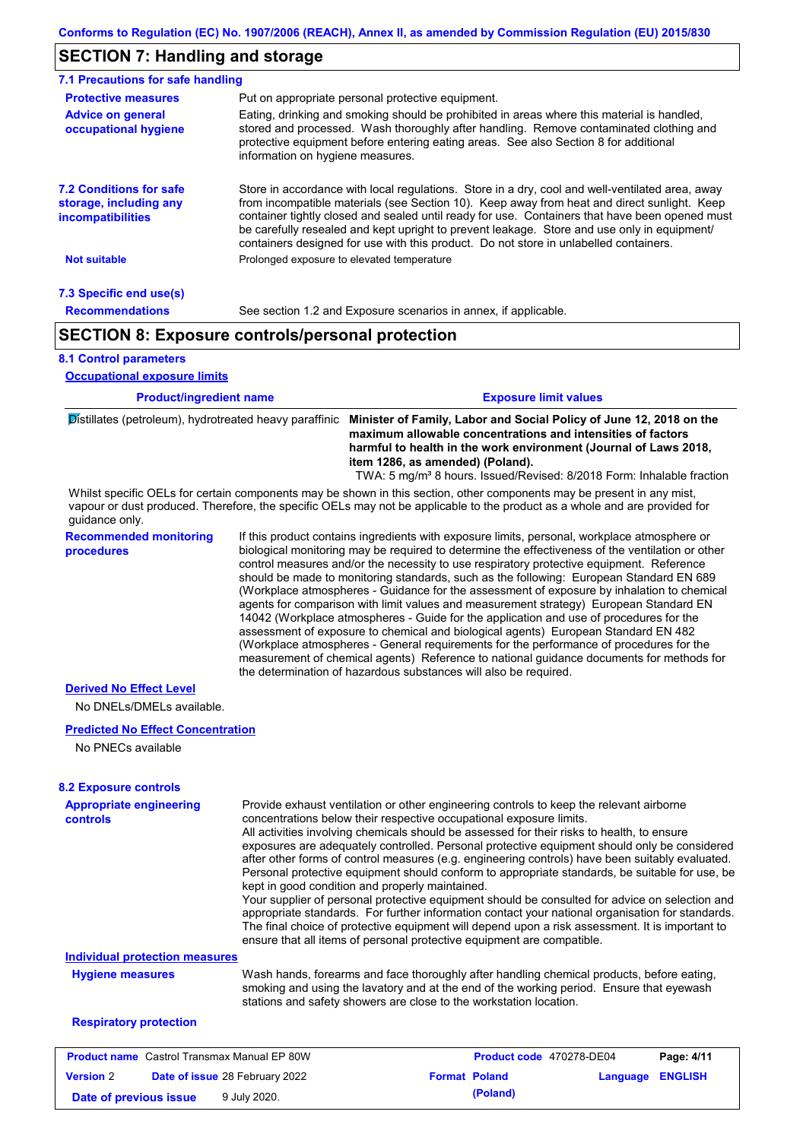## **SECTION 7: Handling and storage**

| 7.1 Precautions for safe handling                                                    |                                                                                                                                                                                                                                                                                                                  |                                                                                                                                                                                                                                                                                                                                                                                                                                                                                          |  |  |  |
|--------------------------------------------------------------------------------------|------------------------------------------------------------------------------------------------------------------------------------------------------------------------------------------------------------------------------------------------------------------------------------------------------------------|------------------------------------------------------------------------------------------------------------------------------------------------------------------------------------------------------------------------------------------------------------------------------------------------------------------------------------------------------------------------------------------------------------------------------------------------------------------------------------------|--|--|--|
| <b>Protective measures</b>                                                           | Put on appropriate personal protective equipment.                                                                                                                                                                                                                                                                |                                                                                                                                                                                                                                                                                                                                                                                                                                                                                          |  |  |  |
| <b>Advice on general</b><br>occupational hygiene                                     | Eating, drinking and smoking should be prohibited in areas where this material is handled,<br>stored and processed. Wash thoroughly after handling. Remove contaminated clothing and<br>protective equipment before entering eating areas. See also Section 8 for additional<br>information on hygiene measures. |                                                                                                                                                                                                                                                                                                                                                                                                                                                                                          |  |  |  |
| <b>7.2 Conditions for safe</b><br>storage, including any<br><i>incompatibilities</i> |                                                                                                                                                                                                                                                                                                                  | Store in accordance with local regulations. Store in a dry, cool and well-ventilated area, away<br>from incompatible materials (see Section 10). Keep away from heat and direct sunlight. Keep<br>container tightly closed and sealed until ready for use. Containers that have been opened must<br>be carefully resealed and kept upright to prevent leakage. Store and use only in equipment/<br>containers designed for use with this product. Do not store in unlabelled containers. |  |  |  |
| <b>Not suitable</b>                                                                  | Prolonged exposure to elevated temperature                                                                                                                                                                                                                                                                       |                                                                                                                                                                                                                                                                                                                                                                                                                                                                                          |  |  |  |
| 7.3 Specific end use(s)                                                              |                                                                                                                                                                                                                                                                                                                  |                                                                                                                                                                                                                                                                                                                                                                                                                                                                                          |  |  |  |
| <b>Recommendations</b>                                                               |                                                                                                                                                                                                                                                                                                                  | See section 1.2 and Exposure scenarios in annex, if applicable.                                                                                                                                                                                                                                                                                                                                                                                                                          |  |  |  |
|                                                                                      | <b>SECTION 8: Exposure controls/personal protection</b>                                                                                                                                                                                                                                                          |                                                                                                                                                                                                                                                                                                                                                                                                                                                                                          |  |  |  |
| <b>8.1 Control parameters</b><br><b>Occupational exposure limits</b>                 |                                                                                                                                                                                                                                                                                                                  |                                                                                                                                                                                                                                                                                                                                                                                                                                                                                          |  |  |  |
| <b>Product/ingredient name</b>                                                       |                                                                                                                                                                                                                                                                                                                  | <b>Exposure limit values</b>                                                                                                                                                                                                                                                                                                                                                                                                                                                             |  |  |  |

Distillates (petroleum), hydrotreated heavy paraffinic **Minister of Family, Labor and Social Policy of June 12, 2018 on the maximum allowable concentrations and intensities of factors harmful to health in the work environment (Journal of Laws 2018, item 1286, as amended) (Poland).** TWA: 5 mg/m<sup>3</sup> 8 hours. Issued/Revised: 8/2018 Form: Inhalable fraction

Whilst specific OELs for certain components may be shown in this section, other components may be present in any mist, vapour or dust produced. Therefore, the specific OELs may not be applicable to the product as a whole and are provided for guidance only.

**Recommended monitoring procedures**

If this product contains ingredients with exposure limits, personal, workplace atmosphere or biological monitoring may be required to determine the effectiveness of the ventilation or other control measures and/or the necessity to use respiratory protective equipment. Reference should be made to monitoring standards, such as the following: European Standard EN 689 (Workplace atmospheres - Guidance for the assessment of exposure by inhalation to chemical agents for comparison with limit values and measurement strategy) European Standard EN 14042 (Workplace atmospheres - Guide for the application and use of procedures for the assessment of exposure to chemical and biological agents) European Standard EN 482 (Workplace atmospheres - General requirements for the performance of procedures for the measurement of chemical agents) Reference to national guidance documents for methods for the determination of hazardous substances will also be required.

## **Derived No Effect Level**

No DNELs/DMELs available.

### **Predicted No Effect Concentration**

No PNECs available

| <b>8.2 Exposure controls</b>                       |                                                                                                                                                                                                                                                                                                                                                                                                                                                                                                                                                                                                                                                                                                                                                                                                                                                                                                                                                                                                         |                                 |          |                |
|----------------------------------------------------|---------------------------------------------------------------------------------------------------------------------------------------------------------------------------------------------------------------------------------------------------------------------------------------------------------------------------------------------------------------------------------------------------------------------------------------------------------------------------------------------------------------------------------------------------------------------------------------------------------------------------------------------------------------------------------------------------------------------------------------------------------------------------------------------------------------------------------------------------------------------------------------------------------------------------------------------------------------------------------------------------------|---------------------------------|----------|----------------|
| <b>Appropriate engineering</b><br><b>controls</b>  | Provide exhaust ventilation or other engineering controls to keep the relevant airborne<br>concentrations below their respective occupational exposure limits.<br>All activities involving chemicals should be assessed for their risks to health, to ensure<br>exposures are adequately controlled. Personal protective equipment should only be considered<br>after other forms of control measures (e.g. engineering controls) have been suitably evaluated.<br>Personal protective equipment should conform to appropriate standards, be suitable for use, be<br>kept in good condition and properly maintained.<br>Your supplier of personal protective equipment should be consulted for advice on selection and<br>appropriate standards. For further information contact your national organisation for standards.<br>The final choice of protective equipment will depend upon a risk assessment. It is important to<br>ensure that all items of personal protective equipment are compatible. |                                 |          |                |
| <b>Individual protection measures</b>              |                                                                                                                                                                                                                                                                                                                                                                                                                                                                                                                                                                                                                                                                                                                                                                                                                                                                                                                                                                                                         |                                 |          |                |
| <b>Hygiene measures</b>                            | Wash hands, forearms and face thoroughly after handling chemical products, before eating,<br>smoking and using the lavatory and at the end of the working period. Ensure that eyewash<br>stations and safety showers are close to the workstation location.                                                                                                                                                                                                                                                                                                                                                                                                                                                                                                                                                                                                                                                                                                                                             |                                 |          |                |
| <b>Respiratory protection</b>                      |                                                                                                                                                                                                                                                                                                                                                                                                                                                                                                                                                                                                                                                                                                                                                                                                                                                                                                                                                                                                         |                                 |          |                |
| <b>Product name</b> Castrol Transmax Manual EP 80W |                                                                                                                                                                                                                                                                                                                                                                                                                                                                                                                                                                                                                                                                                                                                                                                                                                                                                                                                                                                                         | <b>Product code</b> 470278-DE04 |          | Page: 4/11     |
| <b>Version 2</b>                                   | Date of issue 28 February 2022                                                                                                                                                                                                                                                                                                                                                                                                                                                                                                                                                                                                                                                                                                                                                                                                                                                                                                                                                                          | <b>Format Poland</b>            | Language | <b>ENGLISH</b> |

**Date of previous issue** 9 July 2020.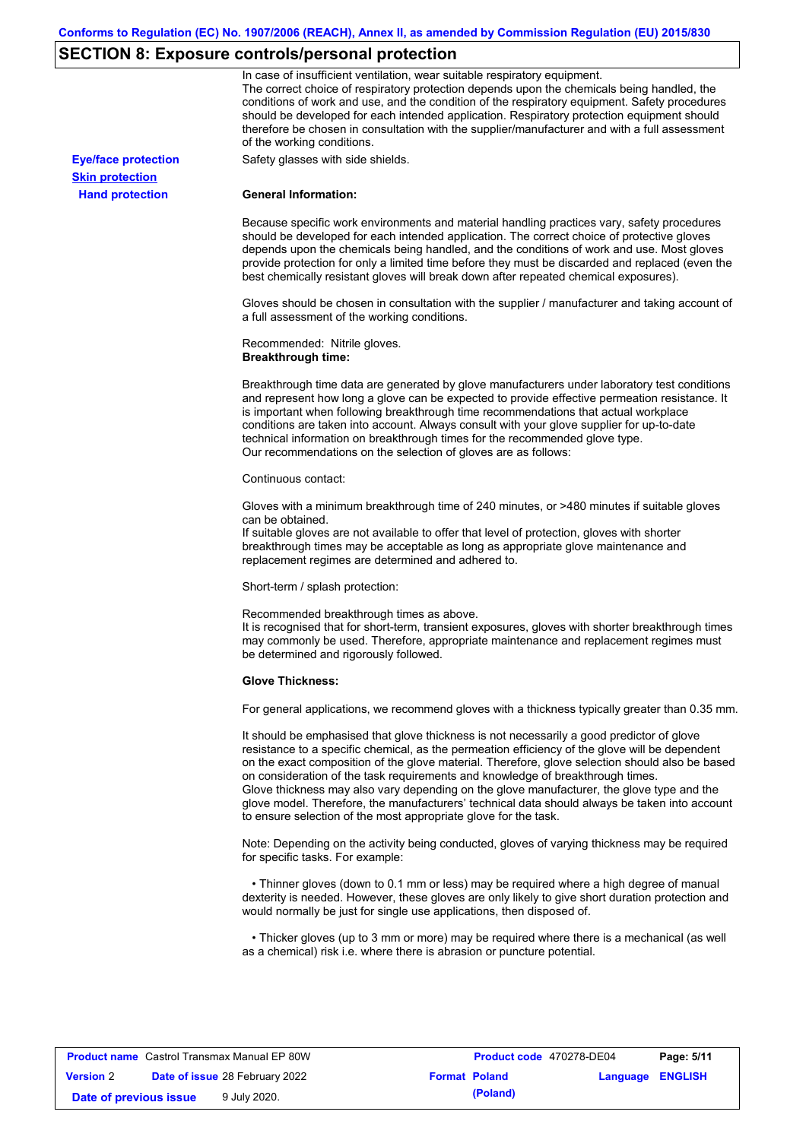# **SECTION 8: Exposure controls/personal protection**

|                            | In case of insufficient ventilation, wear suitable respiratory equipment.                                                                                                                                                                                                                                                                                                                                                                                                                                                                                                                                                                         |
|----------------------------|---------------------------------------------------------------------------------------------------------------------------------------------------------------------------------------------------------------------------------------------------------------------------------------------------------------------------------------------------------------------------------------------------------------------------------------------------------------------------------------------------------------------------------------------------------------------------------------------------------------------------------------------------|
|                            | The correct choice of respiratory protection depends upon the chemicals being handled, the<br>conditions of work and use, and the condition of the respiratory equipment. Safety procedures<br>should be developed for each intended application. Respiratory protection equipment should<br>therefore be chosen in consultation with the supplier/manufacturer and with a full assessment<br>of the working conditions.                                                                                                                                                                                                                          |
| <b>Eye/face protection</b> | Safety glasses with side shields.                                                                                                                                                                                                                                                                                                                                                                                                                                                                                                                                                                                                                 |
| <b>Skin protection</b>     |                                                                                                                                                                                                                                                                                                                                                                                                                                                                                                                                                                                                                                                   |
| <b>Hand protection</b>     | <b>General Information:</b>                                                                                                                                                                                                                                                                                                                                                                                                                                                                                                                                                                                                                       |
|                            | Because specific work environments and material handling practices vary, safety procedures<br>should be developed for each intended application. The correct choice of protective gloves<br>depends upon the chemicals being handled, and the conditions of work and use. Most gloves<br>provide protection for only a limited time before they must be discarded and replaced (even the<br>best chemically resistant gloves will break down after repeated chemical exposures).                                                                                                                                                                  |
|                            | Gloves should be chosen in consultation with the supplier / manufacturer and taking account of<br>a full assessment of the working conditions.                                                                                                                                                                                                                                                                                                                                                                                                                                                                                                    |
|                            | Recommended: Nitrile gloves.<br><b>Breakthrough time:</b>                                                                                                                                                                                                                                                                                                                                                                                                                                                                                                                                                                                         |
|                            | Breakthrough time data are generated by glove manufacturers under laboratory test conditions<br>and represent how long a glove can be expected to provide effective permeation resistance. It<br>is important when following breakthrough time recommendations that actual workplace<br>conditions are taken into account. Always consult with your glove supplier for up-to-date<br>technical information on breakthrough times for the recommended glove type.<br>Our recommendations on the selection of gloves are as follows:                                                                                                                |
|                            | Continuous contact:                                                                                                                                                                                                                                                                                                                                                                                                                                                                                                                                                                                                                               |
|                            | Gloves with a minimum breakthrough time of 240 minutes, or >480 minutes if suitable gloves<br>can be obtained.<br>If suitable gloves are not available to offer that level of protection, gloves with shorter<br>breakthrough times may be acceptable as long as appropriate glove maintenance and<br>replacement regimes are determined and adhered to.                                                                                                                                                                                                                                                                                          |
|                            | Short-term / splash protection:                                                                                                                                                                                                                                                                                                                                                                                                                                                                                                                                                                                                                   |
|                            | Recommended breakthrough times as above.<br>It is recognised that for short-term, transient exposures, gloves with shorter breakthrough times<br>may commonly be used. Therefore, appropriate maintenance and replacement regimes must<br>be determined and rigorously followed.                                                                                                                                                                                                                                                                                                                                                                  |
|                            | <b>Glove Thickness:</b>                                                                                                                                                                                                                                                                                                                                                                                                                                                                                                                                                                                                                           |
|                            | For general applications, we recommend gloves with a thickness typically greater than 0.35 mm.                                                                                                                                                                                                                                                                                                                                                                                                                                                                                                                                                    |
|                            | It should be emphasised that glove thickness is not necessarily a good predictor of glove<br>resistance to a specific chemical, as the permeation efficiency of the glove will be dependent<br>on the exact composition of the glove material. Therefore, glove selection should also be based<br>on consideration of the task requirements and knowledge of breakthrough times.<br>Glove thickness may also vary depending on the glove manufacturer, the glove type and the<br>glove model. Therefore, the manufacturers' technical data should always be taken into account<br>to ensure selection of the most appropriate glove for the task. |
|                            | Note: Depending on the activity being conducted, gloves of varying thickness may be required<br>for specific tasks. For example:                                                                                                                                                                                                                                                                                                                                                                                                                                                                                                                  |
|                            | • Thinner gloves (down to 0.1 mm or less) may be required where a high degree of manual<br>dexterity is needed. However, these gloves are only likely to give short duration protection and<br>would normally be just for single use applications, then disposed of.                                                                                                                                                                                                                                                                                                                                                                              |
|                            | • Thicker gloves (up to 3 mm or more) may be required where there is a mechanical (as well<br>as a chemical) risk i.e. where there is abrasion or puncture potential.                                                                                                                                                                                                                                                                                                                                                                                                                                                                             |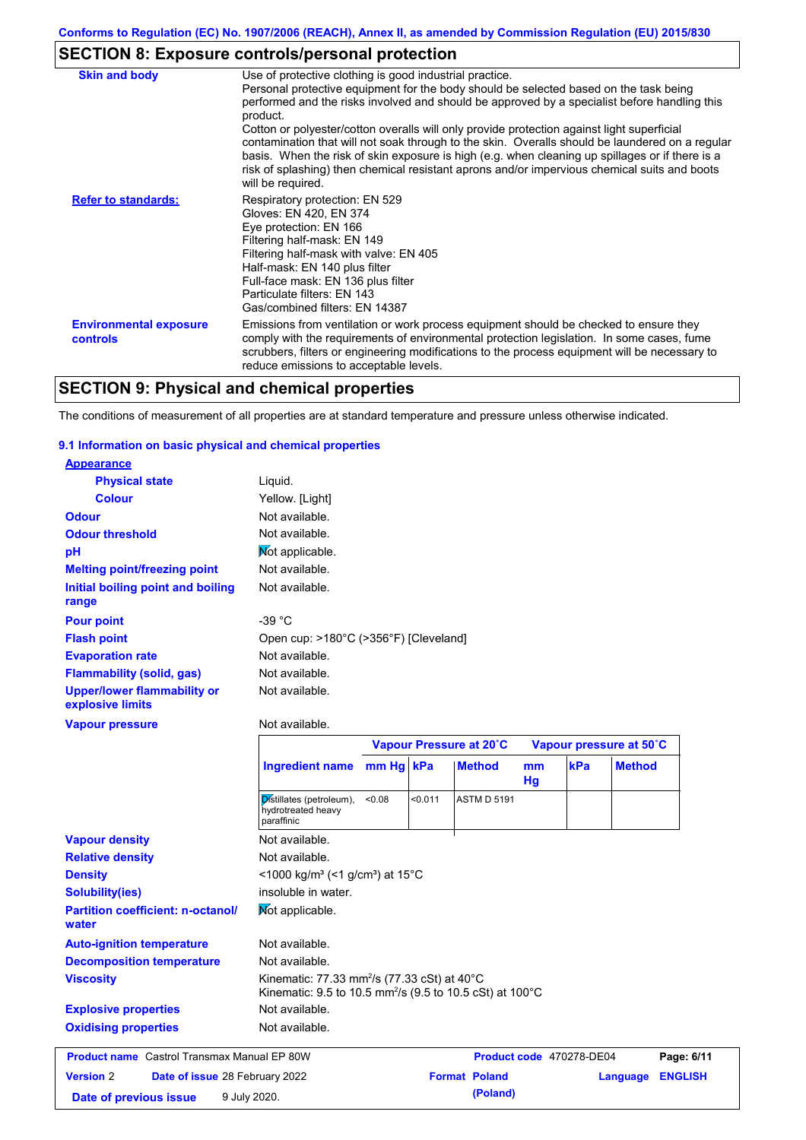# **SECTION 8: Exposure controls/personal protection**

| <b>Skin and body</b>                             | Use of protective clothing is good industrial practice.                                                                                                                                                                                                                                                                                                                                                               |
|--------------------------------------------------|-----------------------------------------------------------------------------------------------------------------------------------------------------------------------------------------------------------------------------------------------------------------------------------------------------------------------------------------------------------------------------------------------------------------------|
|                                                  | Personal protective equipment for the body should be selected based on the task being<br>performed and the risks involved and should be approved by a specialist before handling this<br>product.                                                                                                                                                                                                                     |
|                                                  | Cotton or polyester/cotton overalls will only provide protection against light superficial<br>contamination that will not soak through to the skin. Overalls should be laundered on a regular<br>basis. When the risk of skin exposure is high (e.g. when cleaning up spillages or if there is a<br>risk of splashing) then chemical resistant aprons and/or impervious chemical suits and boots<br>will be required. |
| <b>Refer to standards:</b>                       | Respiratory protection: EN 529<br>Gloves: EN 420, EN 374<br>Eye protection: EN 166<br>Filtering half-mask: EN 149<br>Filtering half-mask with valve: EN 405<br>Half-mask: EN 140 plus filter<br>Full-face mask: EN 136 plus filter<br>Particulate filters: EN 143<br>Gas/combined filters: EN 14387                                                                                                                   |
| <b>Environmental exposure</b><br><b>controls</b> | Emissions from ventilation or work process equipment should be checked to ensure they<br>comply with the requirements of environmental protection legislation. In some cases, fume<br>scrubbers, filters or engineering modifications to the process equipment will be necessary to<br>reduce emissions to acceptable levels.                                                                                         |

# **SECTION 9: Physical and chemical properties**

The conditions of measurement of all properties are at standard temperature and pressure unless otherwise indicated.

### **9.1 Information on basic physical and chemical properties**

| <b>Appearance</b>                                      |                                                              |           |         |                         |          |     |                         |
|--------------------------------------------------------|--------------------------------------------------------------|-----------|---------|-------------------------|----------|-----|-------------------------|
| <b>Physical state</b>                                  | Liquid.                                                      |           |         |                         |          |     |                         |
| <b>Colour</b>                                          | Yellow. [Light]                                              |           |         |                         |          |     |                         |
| <b>Odour</b>                                           | Not available.                                               |           |         |                         |          |     |                         |
| <b>Odour threshold</b>                                 | Not available.                                               |           |         |                         |          |     |                         |
| рH                                                     | Mot applicable.                                              |           |         |                         |          |     |                         |
| <b>Melting point/freezing point</b>                    | Not available.                                               |           |         |                         |          |     |                         |
| Initial boiling point and boiling<br>range             | Not available.                                               |           |         |                         |          |     |                         |
| <b>Pour point</b>                                      | $-39 °C$                                                     |           |         |                         |          |     |                         |
| <b>Flash point</b>                                     | Open cup: >180°C (>356°F) [Cleveland]                        |           |         |                         |          |     |                         |
| <b>Evaporation rate</b>                                | Not available.                                               |           |         |                         |          |     |                         |
| <b>Flammability (solid, gas)</b>                       | Not available.                                               |           |         |                         |          |     |                         |
| <b>Upper/lower flammability or</b><br>explosive limits | Not available.                                               |           |         |                         |          |     |                         |
|                                                        |                                                              |           |         |                         |          |     |                         |
| <b>Vapour pressure</b>                                 | Not available.                                               |           |         |                         |          |     |                         |
|                                                        |                                                              |           |         | Vapour Pressure at 20°C |          |     | Vapour pressure at 50°C |
|                                                        | <b>Ingredient name</b>                                       | mm Hg kPa |         | <b>Method</b>           | mm<br>Hg | kPa | <b>Method</b>           |
|                                                        | Distillates (petroleum),<br>hydrotreated heavy<br>paraffinic | < 0.08    | < 0.011 | <b>ASTM D 5191</b>      |          |     |                         |
| <b>Vapour density</b>                                  | Not available.                                               |           |         |                         |          |     |                         |
| <b>Relative density</b>                                | Not available.                                               |           |         |                         |          |     |                         |
| <b>Density</b>                                         | <1000 kg/m <sup>3</sup> (<1 g/cm <sup>3</sup> ) at 15°C      |           |         |                         |          |     |                         |
| <b>Solubility(ies)</b>                                 | insoluble in water.                                          |           |         |                         |          |     |                         |
| <b>Partition coefficient: n-octanol/</b><br>water      | Mot applicable.                                              |           |         |                         |          |     |                         |
| <b>Auto-ignition temperature</b>                       | Not available.                                               |           |         |                         |          |     |                         |
| <b>Decomposition temperature</b>                       | Not available.                                               |           |         |                         |          |     |                         |

Not available.

## **Explosive properties Oxidising properties** Not available.

| <b>Product name</b> Castrol Transmax Manual EP 80W |  | Product code 470278-DE04              |  | Page: 6/11           |                         |  |
|----------------------------------------------------|--|---------------------------------------|--|----------------------|-------------------------|--|
| <b>Version 2</b>                                   |  | <b>Date of issue 28 February 2022</b> |  | <b>Format Poland</b> | <b>Language ENGLISH</b> |  |
| Date of previous issue                             |  | 9 July 2020.                          |  | (Poland)             |                         |  |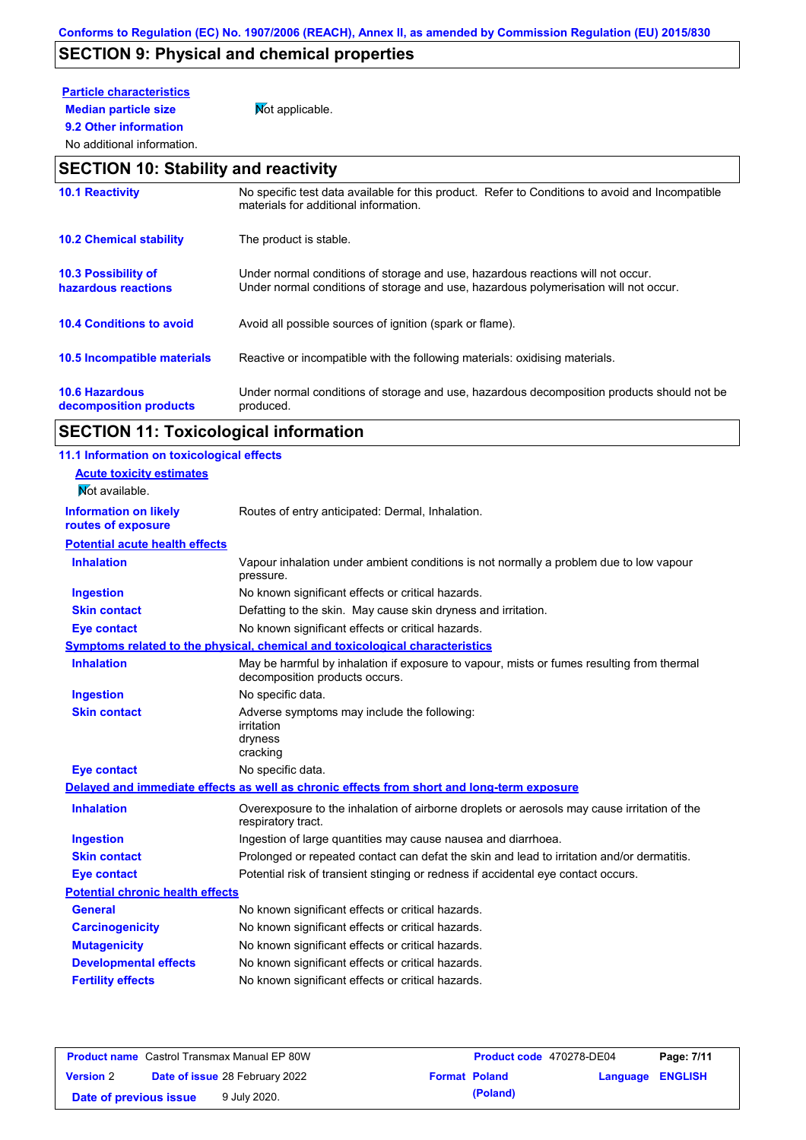# **SECTION 9: Physical and chemical properties**

# **Particle characteristics**

**9.2 Other information**

**Median particle size** Not applicable.

### No additional information.

## **SECTION 10: Stability and reactivity**

| <b>10.1 Reactivity</b>                            | No specific test data available for this product. Refer to Conditions to avoid and Incompatible<br>materials for additional information.                                |
|---------------------------------------------------|-------------------------------------------------------------------------------------------------------------------------------------------------------------------------|
| <b>10.2 Chemical stability</b>                    | The product is stable.                                                                                                                                                  |
| <b>10.3 Possibility of</b><br>hazardous reactions | Under normal conditions of storage and use, hazardous reactions will not occur.<br>Under normal conditions of storage and use, hazardous polymerisation will not occur. |
| <b>10.4 Conditions to avoid</b>                   | Avoid all possible sources of ignition (spark or flame).                                                                                                                |
| 10.5 Incompatible materials                       | Reactive or incompatible with the following materials: oxidising materials.                                                                                             |
| <b>10.6 Hazardous</b><br>decomposition products   | Under normal conditions of storage and use, hazardous decomposition products should not be<br>produced.                                                                 |

# **SECTION 11: Toxicological information**

| 11.1 Information on toxicological effects |                                                                                                                             |
|-------------------------------------------|-----------------------------------------------------------------------------------------------------------------------------|
| <b>Acute toxicity estimates</b>           |                                                                                                                             |
| Not available.                            |                                                                                                                             |
| <b>Information on likely</b>              | Routes of entry anticipated: Dermal, Inhalation.                                                                            |
| routes of exposure                        |                                                                                                                             |
| <b>Potential acute health effects</b>     |                                                                                                                             |
| <b>Inhalation</b>                         | Vapour inhalation under ambient conditions is not normally a problem due to low vapour<br>pressure.                         |
| <b>Ingestion</b>                          | No known significant effects or critical hazards.                                                                           |
| <b>Skin contact</b>                       | Defatting to the skin. May cause skin dryness and irritation.                                                               |
| <b>Eye contact</b>                        | No known significant effects or critical hazards.                                                                           |
|                                           | Symptoms related to the physical, chemical and toxicological characteristics                                                |
| <b>Inhalation</b>                         | May be harmful by inhalation if exposure to vapour, mists or fumes resulting from thermal<br>decomposition products occurs. |
| <b>Ingestion</b>                          | No specific data.                                                                                                           |
| <b>Skin contact</b>                       | Adverse symptoms may include the following:<br>irritation<br>dryness<br>cracking                                            |
| <b>Eye contact</b>                        | No specific data.                                                                                                           |
|                                           | Delayed and immediate effects as well as chronic effects from short and long-term exposure                                  |
| <b>Inhalation</b>                         | Overexposure to the inhalation of airborne droplets or aerosols may cause irritation of the<br>respiratory tract.           |
| <b>Ingestion</b>                          | Ingestion of large quantities may cause nausea and diarrhoea.                                                               |
| <b>Skin contact</b>                       | Prolonged or repeated contact can defat the skin and lead to irritation and/or dermatitis.                                  |
| <b>Eye contact</b>                        | Potential risk of transient stinging or redness if accidental eye contact occurs.                                           |
| <b>Potential chronic health effects</b>   |                                                                                                                             |
| <b>General</b>                            | No known significant effects or critical hazards.                                                                           |
| <b>Carcinogenicity</b>                    | No known significant effects or critical hazards.                                                                           |
| <b>Mutagenicity</b>                       | No known significant effects or critical hazards.                                                                           |
| <b>Developmental effects</b>              | No known significant effects or critical hazards.                                                                           |
| <b>Fertility effects</b>                  | No known significant effects or critical hazards.                                                                           |
|                                           |                                                                                                                             |

|                        | <b>Product name</b> Castrol Transmax Manual EP 80W | <b>Product code</b> 470278-DE04 |                         | Page: 7/11 |
|------------------------|----------------------------------------------------|---------------------------------|-------------------------|------------|
| <b>Version 2</b>       | <b>Date of issue 28 February 2022</b>              | <b>Format Poland</b>            | <b>Language ENGLISH</b> |            |
| Date of previous issue | 9 July 2020.                                       | (Poland)                        |                         |            |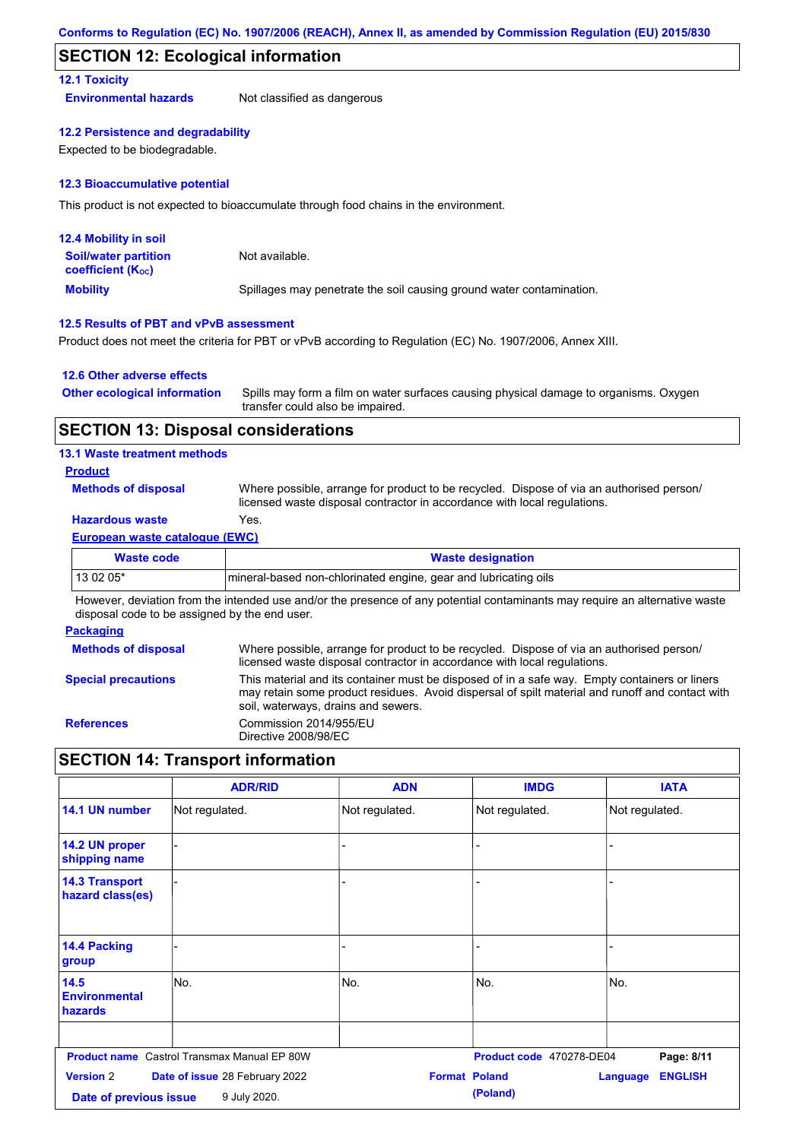## **SECTION 12: Ecological information**

### **12.1 Toxicity**

**Environmental hazards** Not classified as dangerous

### **12.2 Persistence and degradability**

Expected to be biodegradable.

### **12.3 Bioaccumulative potential**

This product is not expected to bioaccumulate through food chains in the environment.

| <b>12.4 Mobility in soil</b>                                  |                                                                      |
|---------------------------------------------------------------|----------------------------------------------------------------------|
| <b>Soil/water partition</b><br>coefficient (K <sub>oc</sub> ) | Not available.                                                       |
| <b>Mobility</b>                                               | Spillages may penetrate the soil causing ground water contamination. |

### **12.5 Results of PBT and vPvB assessment**

Product does not meet the criteria for PBT or vPvB according to Regulation (EC) No. 1907/2006, Annex XIII.

### **12.6 Other adverse effects**

| <b>Other ecological information</b> | Spills may form a film on water surfaces causing physical damage to organisms. Oxygen |
|-------------------------------------|---------------------------------------------------------------------------------------|
|                                     | transfer could also be impaired.                                                      |

### **SECTION 13: Disposal considerations**

### **13.1 Waste treatment methods**

### **Product**

**Methods of disposal**

Where possible, arrange for product to be recycled. Dispose of via an authorised person/ licensed waste disposal contractor in accordance with local regulations.

## **Hazardous waste** Yes.

### **European waste catalogue (EWC)**

| Waste code | <b>Waste designation</b>                                         |
|------------|------------------------------------------------------------------|
| $130205*$  | Imineral-based non-chlorinated engine, gear and lubricating oils |

However, deviation from the intended use and/or the presence of any potential contaminants may require an alternative waste disposal code to be assigned by the end user.

### **Packaging**

| <b>Methods of disposal</b> | Where possible, arrange for product to be recycled. Dispose of via an authorised person/<br>licensed waste disposal contractor in accordance with local regulations.                                                                    |
|----------------------------|-----------------------------------------------------------------------------------------------------------------------------------------------------------------------------------------------------------------------------------------|
| <b>Special precautions</b> | This material and its container must be disposed of in a safe way. Empty containers or liners<br>may retain some product residues. Avoid dispersal of spilt material and runoff and contact with<br>soil, waterways, drains and sewers. |
| <b>References</b>          | Commission 2014/955/EU<br>Directive 2008/98/EC                                                                                                                                                                                          |

# **SECTION 14: Transport information**

|                                            | <b>ADR/RID</b>                                     | <b>ADN</b>           | <b>IMDG</b>              | <b>IATA</b>                       |
|--------------------------------------------|----------------------------------------------------|----------------------|--------------------------|-----------------------------------|
| 14.1 UN number                             | Not regulated.                                     | Not regulated.       | Not regulated.           | Not regulated.                    |
| 14.2 UN proper<br>shipping name            |                                                    | ٠                    |                          |                                   |
| <b>14.3 Transport</b><br>hazard class(es)  |                                                    |                      |                          |                                   |
| 14.4 Packing<br>group                      |                                                    |                      |                          |                                   |
| 14.5<br><b>Environmental</b><br>hazards    | lNo.                                               | No.                  | No.                      | No.                               |
|                                            | <b>Product name</b> Castrol Transmax Manual EP 80W |                      | Product code 470278-DE04 | Page: 8/11                        |
| <b>Version 2</b><br>Date of previous issue | Date of issue 28 February 2022<br>9 July 2020.     | <b>Format Poland</b> | (Poland)                 | <b>ENGLISH</b><br><b>Language</b> |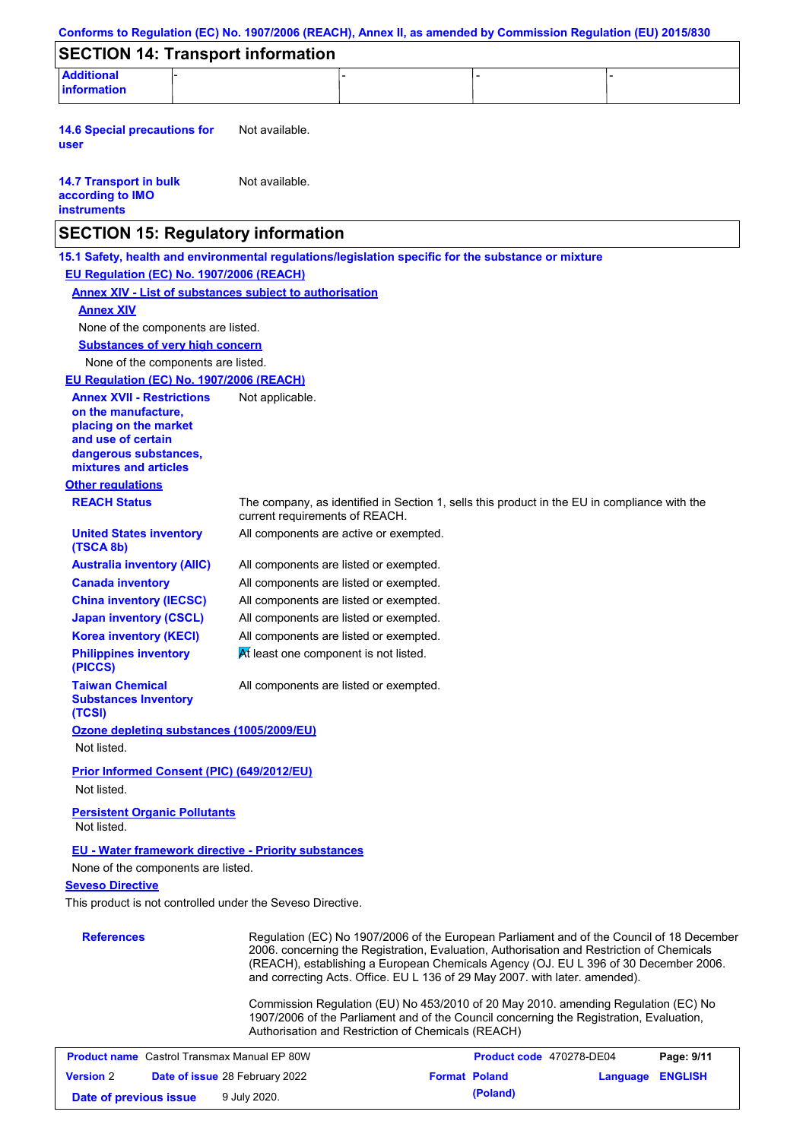| Conforms to Regulation (EC) No. 1907/2006 (REACH), Annex II, as amended by Commission Regulation (EU) 2015/830 |                                                                                 |                                                                                                                                                                                                                                                                                                                                                               |          |                |
|----------------------------------------------------------------------------------------------------------------|---------------------------------------------------------------------------------|---------------------------------------------------------------------------------------------------------------------------------------------------------------------------------------------------------------------------------------------------------------------------------------------------------------------------------------------------------------|----------|----------------|
| <b>SECTION 14: Transport information</b>                                                                       |                                                                                 |                                                                                                                                                                                                                                                                                                                                                               |          |                |
| <b>Additional</b>                                                                                              |                                                                                 |                                                                                                                                                                                                                                                                                                                                                               |          |                |
| <b>information</b>                                                                                             |                                                                                 |                                                                                                                                                                                                                                                                                                                                                               |          |                |
| <b>14.6 Special precautions for</b><br>user                                                                    | Not available.                                                                  |                                                                                                                                                                                                                                                                                                                                                               |          |                |
| <b>14.7 Transport in bulk</b><br>according to IMO<br><b>instruments</b>                                        | Not available.                                                                  |                                                                                                                                                                                                                                                                                                                                                               |          |                |
| <b>SECTION 15: Regulatory information</b>                                                                      |                                                                                 |                                                                                                                                                                                                                                                                                                                                                               |          |                |
| 15.1 Safety, health and environmental regulations/legislation specific for the substance or mixture            |                                                                                 |                                                                                                                                                                                                                                                                                                                                                               |          |                |
| EU Regulation (EC) No. 1907/2006 (REACH)                                                                       |                                                                                 |                                                                                                                                                                                                                                                                                                                                                               |          |                |
| <b>Annex XIV - List of substances subject to authorisation</b>                                                 |                                                                                 |                                                                                                                                                                                                                                                                                                                                                               |          |                |
| <b>Annex XIV</b>                                                                                               |                                                                                 |                                                                                                                                                                                                                                                                                                                                                               |          |                |
| None of the components are listed.                                                                             |                                                                                 |                                                                                                                                                                                                                                                                                                                                                               |          |                |
| <b>Substances of very high concern</b>                                                                         |                                                                                 |                                                                                                                                                                                                                                                                                                                                                               |          |                |
| None of the components are listed.                                                                             |                                                                                 |                                                                                                                                                                                                                                                                                                                                                               |          |                |
| EU Regulation (EC) No. 1907/2006 (REACH)                                                                       |                                                                                 |                                                                                                                                                                                                                                                                                                                                                               |          |                |
| <b>Annex XVII - Restrictions</b><br>on the manufacture,<br>placing on the market                               | Not applicable.                                                                 |                                                                                                                                                                                                                                                                                                                                                               |          |                |
| and use of certain<br>dangerous substances,                                                                    |                                                                                 |                                                                                                                                                                                                                                                                                                                                                               |          |                |
| mixtures and articles                                                                                          |                                                                                 |                                                                                                                                                                                                                                                                                                                                                               |          |                |
| <b>Other regulations</b>                                                                                       |                                                                                 |                                                                                                                                                                                                                                                                                                                                                               |          |                |
| <b>REACH Status</b>                                                                                            | current requirements of REACH.                                                  | The company, as identified in Section 1, sells this product in the EU in compliance with the                                                                                                                                                                                                                                                                  |          |                |
| <b>United States inventory</b><br>(TSCA 8b)                                                                    | All components are active or exempted.                                          |                                                                                                                                                                                                                                                                                                                                                               |          |                |
| <b>Australia inventory (AIIC)</b>                                                                              | All components are listed or exempted.                                          |                                                                                                                                                                                                                                                                                                                                                               |          |                |
| <b>Canada inventory</b>                                                                                        | All components are listed or exempted.                                          |                                                                                                                                                                                                                                                                                                                                                               |          |                |
| <b>China inventory (IECSC)</b>                                                                                 | All components are listed or exempted.                                          |                                                                                                                                                                                                                                                                                                                                                               |          |                |
| <b>Japan inventory (CSCL)</b><br><b>Korea inventory (KECI)</b>                                                 | All components are listed or exempted.                                          |                                                                                                                                                                                                                                                                                                                                                               |          |                |
| <b>Philippines inventory</b><br>(PICCS)                                                                        | All components are listed or exempted.<br>At least one component is not listed. |                                                                                                                                                                                                                                                                                                                                                               |          |                |
| <b>Taiwan Chemical</b><br><b>Substances Inventory</b>                                                          | All components are listed or exempted.                                          |                                                                                                                                                                                                                                                                                                                                                               |          |                |
| (TCSI)                                                                                                         |                                                                                 |                                                                                                                                                                                                                                                                                                                                                               |          |                |
| Ozone depleting substances (1005/2009/EU)<br>Not listed.                                                       |                                                                                 |                                                                                                                                                                                                                                                                                                                                                               |          |                |
| <b>Prior Informed Consent (PIC) (649/2012/EU)</b><br>Not listed.                                               |                                                                                 |                                                                                                                                                                                                                                                                                                                                                               |          |                |
| <b>Persistent Organic Pollutants</b><br>Not listed.                                                            |                                                                                 |                                                                                                                                                                                                                                                                                                                                                               |          |                |
| <b>EU - Water framework directive - Priority substances</b><br>None of the components are listed.              |                                                                                 |                                                                                                                                                                                                                                                                                                                                                               |          |                |
| <b>Seveso Directive</b>                                                                                        |                                                                                 |                                                                                                                                                                                                                                                                                                                                                               |          |                |
| This product is not controlled under the Seveso Directive.                                                     |                                                                                 |                                                                                                                                                                                                                                                                                                                                                               |          |                |
|                                                                                                                |                                                                                 |                                                                                                                                                                                                                                                                                                                                                               |          |                |
| <b>References</b>                                                                                              |                                                                                 | Regulation (EC) No 1907/2006 of the European Parliament and of the Council of 18 December<br>2006. concerning the Registration, Evaluation, Authorisation and Restriction of Chemicals<br>(REACH), establishing a European Chemicals Agency (OJ. EU L 396 of 30 December 2006.<br>and correcting Acts. Office. EU L 136 of 29 May 2007. with later. amended). |          |                |
|                                                                                                                |                                                                                 | Commission Regulation (EU) No 453/2010 of 20 May 2010. amending Regulation (EC) No<br>1907/2006 of the Parliament and of the Council concerning the Registration, Evaluation,<br>Authorisation and Restriction of Chemicals (REACH)                                                                                                                           |          |                |
| <b>Product name</b> Castrol Transmax Manual EP 80W                                                             |                                                                                 | Product code 470278-DE04                                                                                                                                                                                                                                                                                                                                      |          | Page: 9/11     |
| <b>Version 2</b>                                                                                               | Date of issue 28 February 2022                                                  | <b>Format Poland</b>                                                                                                                                                                                                                                                                                                                                          | Language | <b>ENGLISH</b> |
| Date of previous issue                                                                                         | 9 July 2020.                                                                    | (Poland)                                                                                                                                                                                                                                                                                                                                                      |          |                |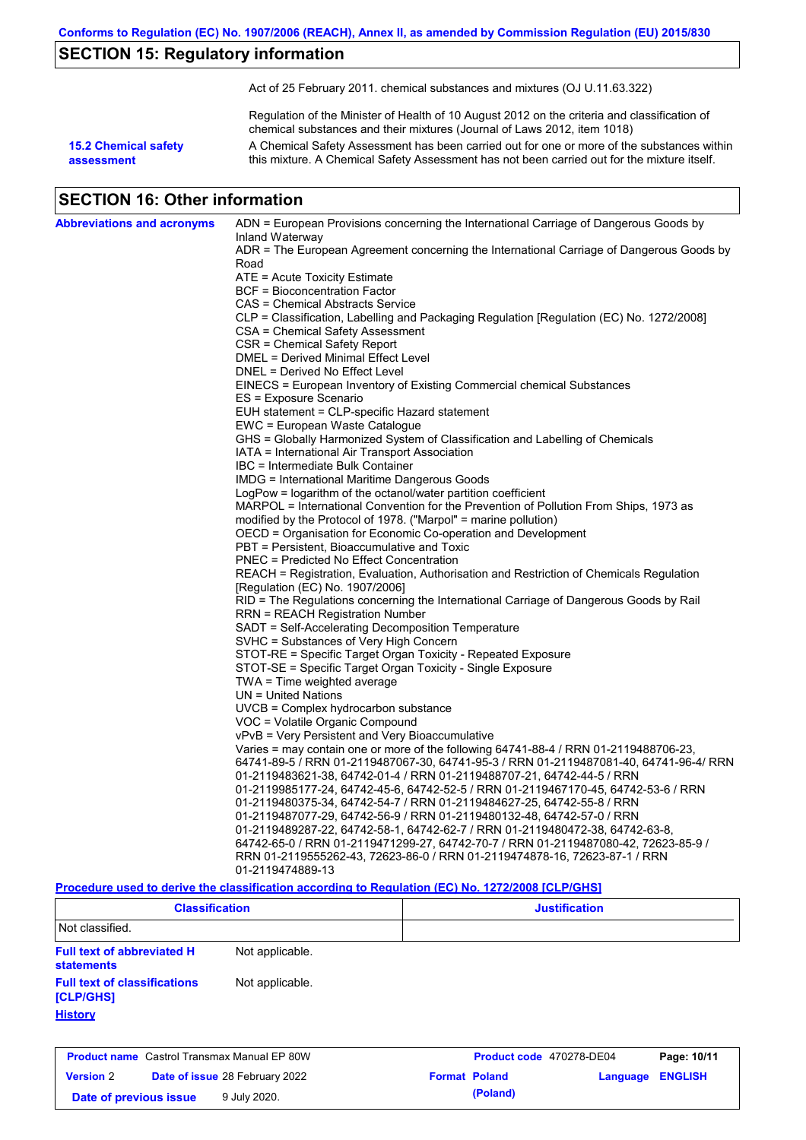# **SECTION 15: Regulatory information**

Act of 25 February 2011. chemical substances and mixtures (OJ U.11.63.322)

Regulation of the Minister of Health of 10 August 2012 on the criteria and classification of chemical substances and their mixtures (Journal of Laws 2012, item 1018)

**15.2 Chemical safety assessment**

A Chemical Safety Assessment has been carried out for one or more of the substances within this mixture. A Chemical Safety Assessment has not been carried out for the mixture itself.

## **SECTION 16: Other information**

| <b>Abbreviations and acronyms</b> | ADN = European Provisions concerning the International Carriage of Dangerous Goods by                       |
|-----------------------------------|-------------------------------------------------------------------------------------------------------------|
|                                   | Inland Waterway<br>ADR = The European Agreement concerning the International Carriage of Dangerous Goods by |
|                                   | Road                                                                                                        |
|                                   | ATE = Acute Toxicity Estimate                                                                               |
|                                   | BCF = Bioconcentration Factor                                                                               |
|                                   | CAS = Chemical Abstracts Service                                                                            |
|                                   | CLP = Classification, Labelling and Packaging Regulation [Regulation (EC) No. 1272/2008]                    |
|                                   | CSA = Chemical Safety Assessment                                                                            |
|                                   | CSR = Chemical Safety Report                                                                                |
|                                   | DMEL = Derived Minimal Effect Level                                                                         |
|                                   | DNEL = Derived No Effect Level                                                                              |
|                                   | EINECS = European Inventory of Existing Commercial chemical Substances                                      |
|                                   | ES = Exposure Scenario                                                                                      |
|                                   | EUH statement = CLP-specific Hazard statement                                                               |
|                                   | EWC = European Waste Catalogue                                                                              |
|                                   | GHS = Globally Harmonized System of Classification and Labelling of Chemicals                               |
|                                   | IATA = International Air Transport Association                                                              |
|                                   | IBC = Intermediate Bulk Container<br>IMDG = International Maritime Dangerous Goods                          |
|                                   | LogPow = logarithm of the octanol/water partition coefficient                                               |
|                                   | MARPOL = International Convention for the Prevention of Pollution From Ships, 1973 as                       |
|                                   | modified by the Protocol of 1978. ("Marpol" = marine pollution)                                             |
|                                   | OECD = Organisation for Economic Co-operation and Development                                               |
|                                   | PBT = Persistent, Bioaccumulative and Toxic                                                                 |
|                                   | <b>PNEC</b> = Predicted No Effect Concentration                                                             |
|                                   | REACH = Registration, Evaluation, Authorisation and Restriction of Chemicals Regulation                     |
|                                   | [Regulation (EC) No. 1907/2006]                                                                             |
|                                   | RID = The Regulations concerning the International Carriage of Dangerous Goods by Rail                      |
|                                   | RRN = REACH Registration Number                                                                             |
|                                   | SADT = Self-Accelerating Decomposition Temperature                                                          |
|                                   | SVHC = Substances of Very High Concern                                                                      |
|                                   | STOT-RE = Specific Target Organ Toxicity - Repeated Exposure                                                |
|                                   | STOT-SE = Specific Target Organ Toxicity - Single Exposure                                                  |
|                                   | $TWA = Time$ weighted average                                                                               |
|                                   | $UN = United Nations$<br>UVCB = Complex hydrocarbon substance                                               |
|                                   | VOC = Volatile Organic Compound                                                                             |
|                                   | vPvB = Very Persistent and Very Bioaccumulative                                                             |
|                                   | Varies = may contain one or more of the following $64741-88-4$ / RRN 01-2119488706-23,                      |
|                                   | 64741-89-5 / RRN 01-2119487067-30, 64741-95-3 / RRN 01-2119487081-40, 64741-96-4/ RRN                       |
|                                   | 01-2119483621-38, 64742-01-4 / RRN 01-2119488707-21, 64742-44-5 / RRN                                       |
|                                   | 01-2119985177-24, 64742-45-6, 64742-52-5 / RRN 01-2119467170-45, 64742-53-6 / RRN                           |
|                                   | 01-2119480375-34, 64742-54-7 / RRN 01-2119484627-25, 64742-55-8 / RRN                                       |
|                                   | 01-2119487077-29, 64742-56-9 / RRN 01-2119480132-48, 64742-57-0 / RRN                                       |
|                                   | 01-2119489287-22, 64742-58-1, 64742-62-7 / RRN 01-2119480472-38, 64742-63-8,                                |
|                                   | 64742-65-0 / RRN 01-2119471299-27, 64742-70-7 / RRN 01-2119487080-42, 72623-85-9 /                          |
|                                   | RRN 01-2119555262-43, 72623-86-0 / RRN 01-2119474878-16, 72623-87-1 / RRN                                   |
|                                   | 01-2119474889-13                                                                                            |

### **Procedure used to derive the classification according to Regulation (EC) No. 1272/2008 [CLP/GHS]**

| <b>Classification</b>                                  |                 | <b>Justification</b>     |             |
|--------------------------------------------------------|-----------------|--------------------------|-------------|
| Not classified.                                        |                 |                          |             |
| <b>Full text of abbreviated H</b><br><b>statements</b> | Not applicable. |                          |             |
| <b>Full text of classifications</b><br>[CLP/GHS]       | Not applicable. |                          |             |
| <b>History</b>                                         |                 |                          |             |
| <b>Product name</b> Castrol Transmax Manual EP 80W     |                 | Product code 470278-DE04 | Page: 10/11 |

| <b>Product hame</b> Castrol Transmax Manual EP 80W |  | <b>Product code</b> 4/02/8-DE04       |  | Page: 10/11          |                  |  |
|----------------------------------------------------|--|---------------------------------------|--|----------------------|------------------|--|
| <b>Version</b> 2                                   |  | <b>Date of issue 28 February 2022</b> |  | <b>Format Poland</b> | Language ENGLISH |  |
| Date of previous issue                             |  | 9 July 2020.                          |  | (Poland)             |                  |  |